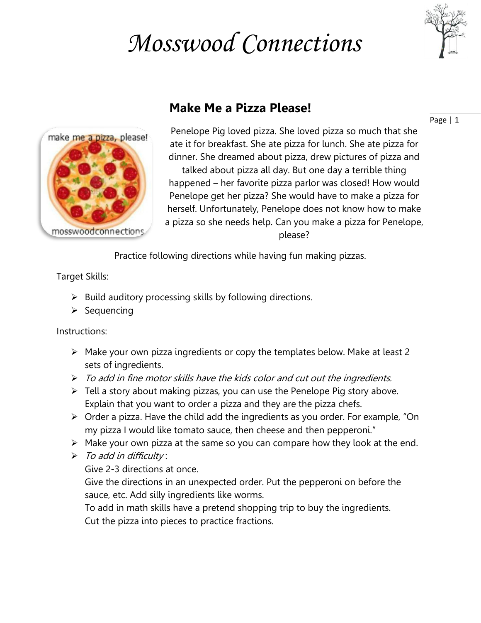## *Mosswood Connections*





## **Make Me a Pizza Please!**

Page | 1

Penelope Pig loved pizza. She loved pizza so much that she ate it for breakfast. She ate pizza for lunch. She ate pizza for dinner. She dreamed about pizza, drew pictures of pizza and talked about pizza all day. But one day a terrible thing happened – her favorite pizza parlor was closed! How would Penelope get her pizza? She would have to make a pizza for herself. Unfortunately, Penelope does not know how to make a pizza so she needs help. Can you make a pizza for Penelope, please?

Practice following directions while having fun making pizzas.

Target Skills:

- $\triangleright$  Build auditory processing skills by following directions.
- $\triangleright$  Sequencing

Instructions:

- $\triangleright$  Make your own pizza ingredients or copy the templates below. Make at least 2 sets of ingredients.
- $\triangleright$  To add in fine motor skills have the kids color and cut out the ingredients.
- $\triangleright$  Tell a story about making pizzas, you can use the Penelope Pig story above. Explain that you want to order a pizza and they are the pizza chefs.
- $\triangleright$  Order a pizza. Have the child add the ingredients as you order. For example, "On my pizza I would like tomato sauce, then cheese and then pepperoni."
- $\triangleright$  Make your own pizza at the same so you can compare how they look at the end.
- $\triangleright$  To add in difficulty:

Give 2-3 directions at once.

Give the directions in an unexpected order. Put the pepperoni on before the sauce, etc. Add silly ingredients like worms.

To add in math skills have a pretend shopping trip to buy the ingredients. Cut the pizza into pieces to practice fractions.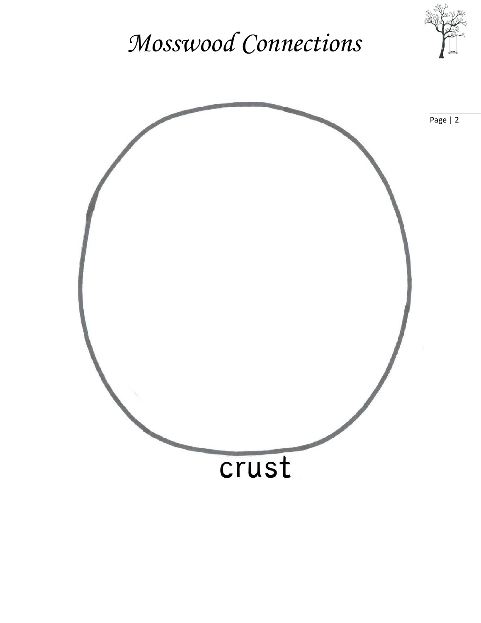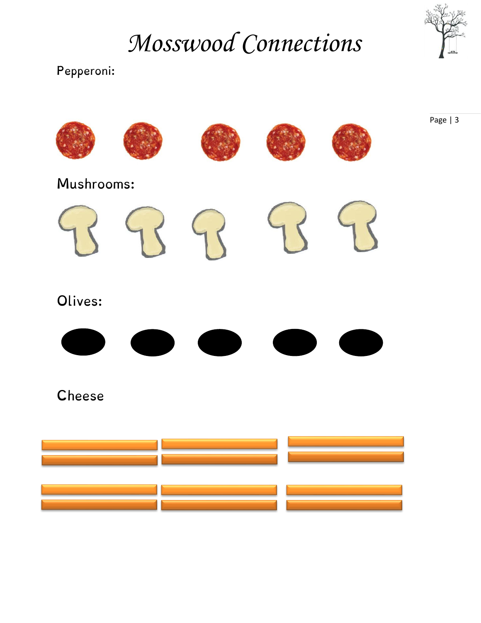*Mosswood Connections*



Page | 3

## Pepperoni: